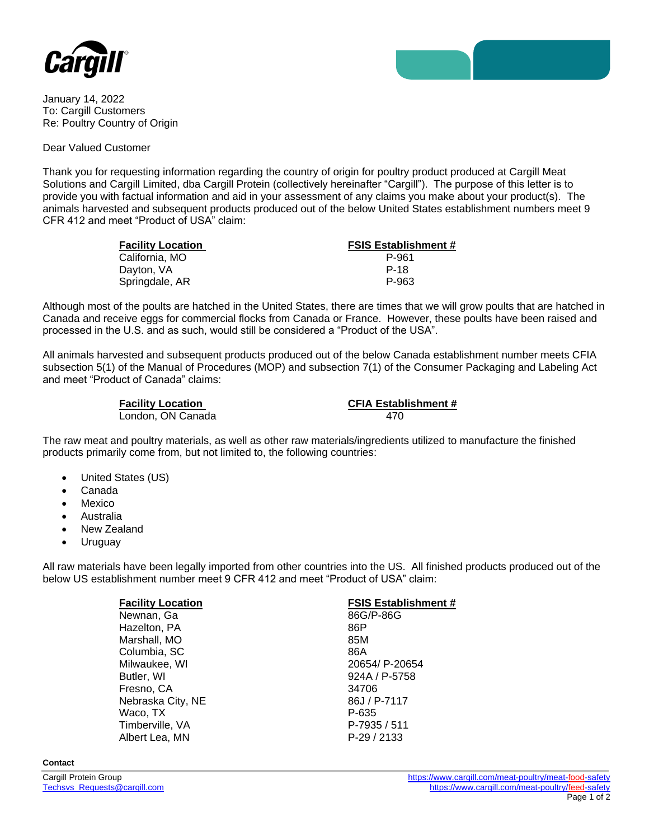

January 14, 2022 To: Cargill Customers Re: Poultry Country of Origin

Dear Valued Customer

Thank you for requesting information regarding the country of origin for poultry product produced at Cargill Meat Solutions and Cargill Limited, dba Cargill Protein (collectively hereinafter "Cargill"). The purpose of this letter is to provide you with factual information and aid in your assessment of any claims you make about your product(s). The animals harvested and subsequent products produced out of the below United States establishment numbers meet 9 CFR 412 and meet "Product of USA" claim:

| <b>Facility Location</b> | <b>FSIS Establishment #</b> |
|--------------------------|-----------------------------|
| California, MO           | P-961                       |
| Dayton, VA               | P-18                        |
| Springdale, AR           | P-963                       |

Although most of the poults are hatched in the United States, there are times that we will grow poults that are hatched in Canada and receive eggs for commercial flocks from Canada or France. However, these poults have been raised and processed in the U.S. and as such, would still be considered a "Product of the USA".

All animals harvested and subsequent products produced out of the below Canada establishment number meets CFIA subsection 5(1) of the Manual of Procedures (MOP) and subsection 7(1) of the Consumer Packaging and Labeling Act and meet "Product of Canada" claims:

| <b>Facility Location</b> | <b>CFIA Establishment #</b> |
|--------------------------|-----------------------------|
| London, ON Canada        | 470                         |

The raw meat and poultry materials, as well as other raw materials/ingredients utilized to manufacture the finished products primarily come from, but not limited to, the following countries:

- United States (US)
- Canada
- **Mexico**
- Australia
- New Zealand
- Uruguay

All raw materials have been legally imported from other countries into the US. All finished products produced out of the below US establishment number meet 9 CFR 412 and meet "Product of USA" claim:

| <b>Facility Location</b> | <b>FSIS Establishment #</b> |
|--------------------------|-----------------------------|
| Newnan, Ga               | 86G/P-86G                   |
| Hazelton, PA             | 86P                         |
| Marshall, MO             | 85M                         |
| Columbia, SC             | 86A                         |
| Milwaukee, WI            | 20654/ P-20654              |
| Butler, WI               | 924A / P-5758               |
| Fresno, CA               | 34706                       |
| Nebraska City, NE        | 86J / P-7117                |
| Waco, TX                 | P-635                       |
| Timberville, VA          | P-7935 / 511                |
| Albert Lea, MN           | $P-29/2133$                 |

**Contact**